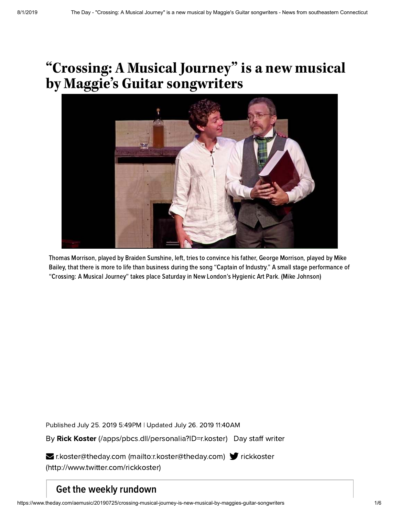# **"Crossing: A Musical Journey " is a new musical by Maggie's Guitarsongwriters**



Thomas Morrison, played by Braiden Sunshine, left, tries to convince his father, George Morrison, played by Mike Bailey, that there is more to life than business during the song "Captain of Industry." A small stage performance of "Crossing: A Musical Journey" takes place Saturday in New London's Hygienic Art Park. (Mike Johnson)

Published July 25. 2019 5:49PM | Updated July 26. 2019 11:40AM

By Rick Koster [\(/apps/pbcs.dll/personalia?ID=r.koster\)](https://www.theday.com/apps/pbcs.dll/personalia?ID=r.koster) Day staff writer

**Executer@theday.com [\(mailto:r.koster@theday.com\)](mailto:r.koster@theday.com)** frickkoster [\(http://www.twitter.com/rickkoster\)](http://www.twitter.com/rickkoster)

## Get the weekly rundown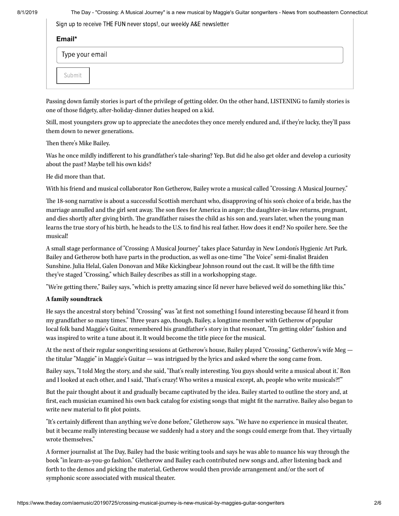8/1/2019 The Day - "Crossing: A Musical Journey" is a new musical by Maggie's Guitar songwriters - News from southeastern Connecticut

Sign up to receive THE FUN never stops!, our weekly A&E newsletter

| Email* |                 |  |
|--------|-----------------|--|
|        | Type your email |  |
|        | Submit          |  |

Passing down family stories is part of the privilege of getting older. On the other hand, LISTENING to family stories is one of those fidgety, after-holiday-dinner duties heaped on a kid.

Still, most youngsters grow up to appreciate the anecdotes they once merely endured and, if they're lucky, they'll pass them down to newer generations.

### Then there's Mike Bailey.

Was he once mildly indifferent to his grandfather's tale-sharing? Yep. But did he also get older and develop a curiosity about the past? Maybe tell his own kids?

He did more than that.

With his friend and musical collaborator Ron Getherow, Bailey wrote a musical called "Crossing: A Musical Journey."

e 18-song narrative is about a successful Scottish merchant who, disapproving of his son's choice of a bride, has the marriage annulled and the girl sent away. The son flees for America in anger; the daughter-in-law returns, pregnant, and dies shortly after giving birth. The grandfather raises the child as his son and, years later, when the young man learns the true story of his birth, he heads to the U.S. to find his real father. How does it end? No spoiler here. See the musical!

A small stage performance of "Crossing: A Musical Journey" takes place Saturday in New London's Hygienic Art Park. Bailey and Getherow both have parts in the production, as well as one-time "The Voice" semi-finalist Braiden Sunshine. Julia Helal, Galen Donovan and Mike Kickingbear Johnson round out the cast. It will be the fth time they've staged "Crossing," which Bailey describes as still in a workshopping stage.

"We're getting there," Bailey says, "which is pretty amazing since I'd never have believed we'd do something like this."

### **A family soundtrack**

He says the ancestral story behind "Crossing" was "at first not something I found interesting because I'd heard it from my grandfather so many times." Three years ago, though, Bailey, a longtime member with Getherow of popular local folk band Maggie's Guitar, remembered his grandfather's story in that resonant, "I'm getting older" fashion and was inspired to write a tune about it. It would become the title piece for the musical.

At the next of their regular songwriting sessions at Getherow's house, Bailey played "Crossing." Getherow's wife Meg the titular "Maggie" in Maggie's Guitar — was intrigued by the lyrics and asked where the song came from.

Bailey says, "I told Meg the story, and she said, 'That's really interesting. You guys should write a musical about it.' Ron and I looked at each other, and I said, 'That's crazy! Who writes a musical except, ah, people who write musicals?!"

But the pair thought about it and gradually became captivated by the idea. Bailey started to outline the story and, at first, each musician examined his own back catalog for existing songs that might fit the narrative. Bailey also began to write new material to fit plot points.

"It's certainly different than anything we've done before," Gletherow says. "We have no experience in musical theater, but it became really interesting because we suddenly had a story and the songs could emerge from that. They virtually wrote themselves."

A former journalist at The Day, Bailey had the basic writing tools and says he was able to nuance his way through the book "in learn-as-you-go fashion." Gletherow and Bailey each contributed new songs and, after listening back and forth to the demos and picking the material, Getherow would then provide arrangement and/or the sort of symphonic score associated with musical theater.